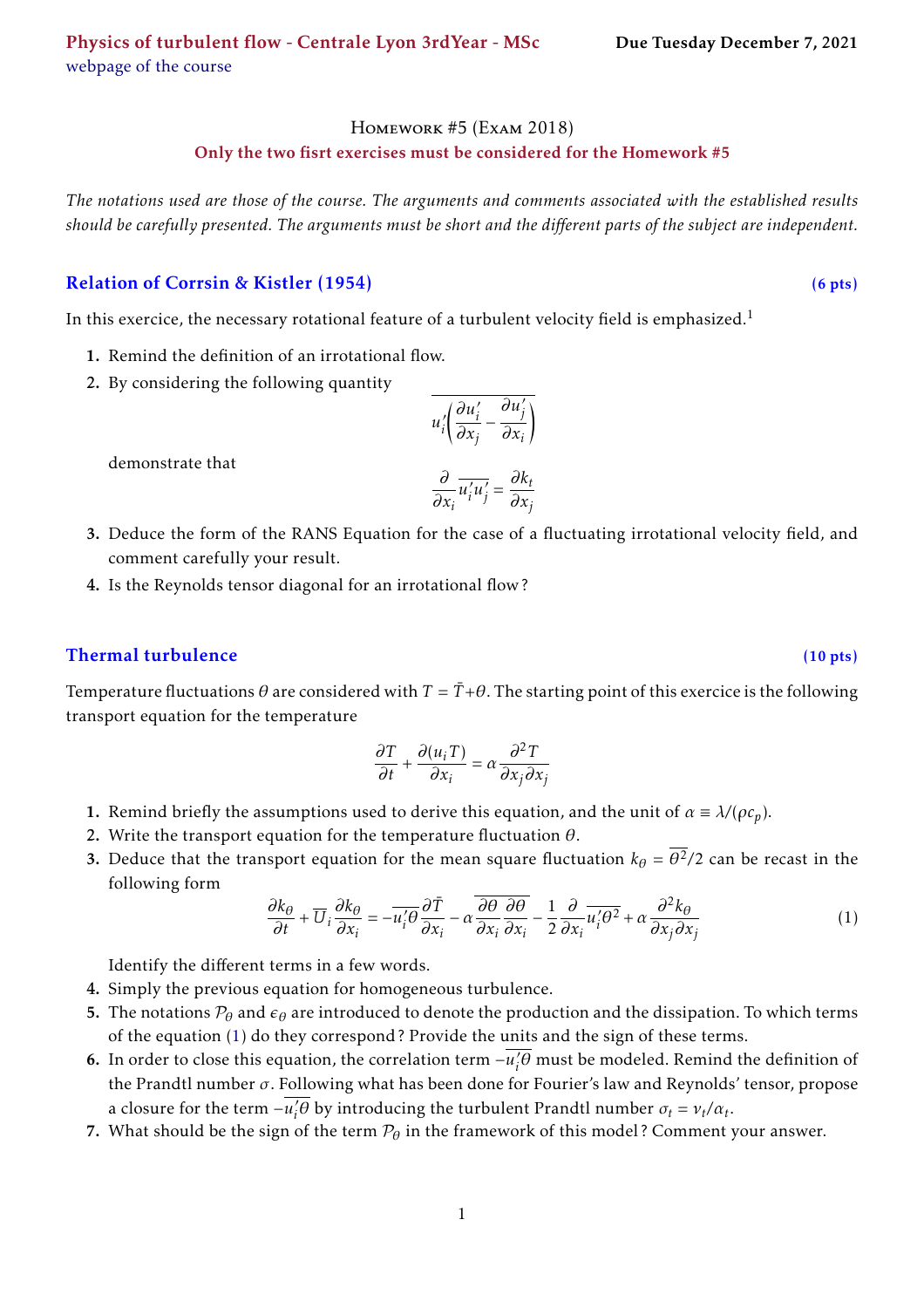#### Homework #5 (Exam 2018)

#### Only the two fisrt exercises must be considered for the Homework #5

*The notations used are those of the course. The arguments and comments associated with the established results should be carefully presented. The arguments must be short and the different parts of the subject are independent.*

# Relation of Corrsin & Kistler (1954) (6 pts)

In this exercice, the necessary rotational feature of a turbulent velocity field is emphasized.<sup>[1](#page-1-0)</sup>

- 1. Remind the definition of an irrotational flow.
- 2. By considering the following quantity

$$
u_i' \left( \frac{\partial u_i'}{\partial x_j} - \frac{\partial u_j'}{\partial x_i} \right)
$$

demonstrate that

$$
\frac{\partial}{\partial x_i} \overline{u'_i u'_j} = \frac{\partial k_t}{\partial x_j}
$$

- 3. Deduce the form of the RANS Equation for the case of a fluctuating irrotational velocity field, and comment carefully your result.
- 4. Is the Reynolds tensor diagonal for an irrotational flow ?

### Thermal turbulence (10 pts)

Temperature fluctuations  $\theta$  are considered with  $T = \bar{T} + \theta$ . The starting point of this exercice is the following transport equation for the temperature

$$
\frac{\partial T}{\partial t} + \frac{\partial (u_i T)}{\partial x_i} = \alpha \frac{\partial^2 T}{\partial x_j \partial x_j}
$$

- 1. Remind briefly the assumptions used to derive this equation, and the unit of  $\alpha \equiv \lambda/(\rho c_p)$ .
- 2. Write the transport equation for the temperature fluctuation *θ*.
- 3. Deduce that the transport equation for the mean square fluctuation  $k_{\theta} = \overline{\theta^2}/2$  can be recast in the following form

<span id="page-0-0"></span>
$$
\frac{\partial k_{\theta}}{\partial t} + \overline{U}_{i} \frac{\partial k_{\theta}}{\partial x_{i}} = -\overline{u_{i}^{\prime} \theta} \frac{\partial \overline{T}}{\partial x_{i}} - \alpha \frac{\overline{\partial \theta}}{\partial x_{i}} \frac{\partial \overline{\theta}}{\partial x_{i}} - \frac{1}{2} \frac{\partial}{\partial x_{i}} \overline{u_{i}^{\prime} \theta^{2}} + \alpha \frac{\partial^{2} k_{\theta}}{\partial x_{j} \partial x_{j}} \tag{1}
$$

Identify the different terms in a few words.

- 4. Simply the previous equation for homogeneous turbulence.
- 5. The notations  $P_\theta$  and  $\epsilon_\theta$  are introduced to denote the production and the dissipation. To which terms of the equation [\(1\)](#page-0-0) do they correspond ? Provide the units and the sign of these terms.
- **6.** In order to close this equation, the correlation term  $-\overline{u_i^2}$  $\partial_i^2 \theta$  must be modeled. Remind the definition of the Prandtl number *σ*. Following what has been done for Fourier's law and Reynolds' tensor, propose a closure for the term  $-\overline{u_i'}$  $\delta_i^2 \theta$  by introducing the turbulent Prandtl number  $\sigma_t = v_t / \alpha_t$ .
- 7. What should be the sign of the term  $P_\theta$  in the framework of this model? Comment your answer.